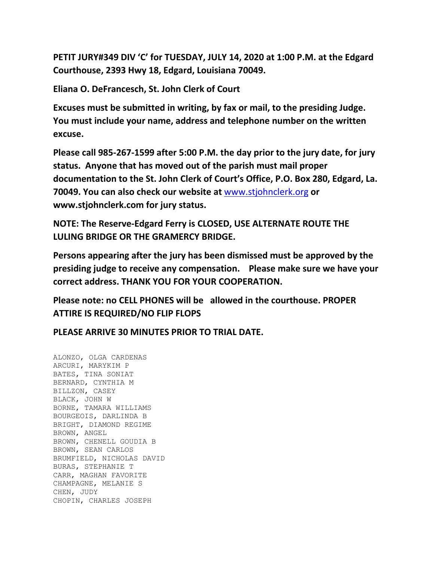**PETIT JURY#349 DIV 'C' for TUESDAY, JULY 14, 2020 at 1:00 P.M. at the Edgard Courthouse, 2393 Hwy 18, Edgard, Louisiana 70049.**

**Eliana O. DeFrancesch, St. John Clerk of Court**

**Excuses must be submitted in writing, by fax or mail, to the presiding Judge. You must include your name, address and telephone number on the written excuse.**

**Please call 985-267-1599 after 5:00 P.M. the day prior to the jury date, for jury status. Anyone that has moved out of the parish must mail proper documentation to the St. John Clerk of Court's Office, P.O. Box 280, Edgard, La. 70049. You can also check our website at** [www.stjohnclerk.org](http://www.stjohnclerk.org/) **or www.stjohnclerk.com for jury status.**

**NOTE: The Reserve-Edgard Ferry is CLOSED, USE ALTERNATE ROUTE THE LULING BRIDGE OR THE GRAMERCY BRIDGE.**

**Persons appearing after the jury has been dismissed must be approved by the presiding judge to receive any compensation. Please make sure we have your correct address. THANK YOU FOR YOUR COOPERATION.**

**Please note: no CELL PHONES will be allowed in the courthouse. PROPER ATTIRE IS REQUIRED/NO FLIP FLOPS**

**PLEASE ARRIVE 30 MINUTES PRIOR TO TRIAL DATE.**

ALONZO, OLGA CARDENAS ARCURI, MARYKIM P BATES, TINA SONIAT BERNARD, CYNTHIA M BILLZON, CASEY BLACK, JOHN W BORNE, TAMARA WILLIAMS BOURGEOIS, DARLINDA B BRIGHT, DIAMOND REGIME BROWN, ANGEL BROWN, CHENELL GOUDIA B BROWN, SEAN CARLOS BRUMFIELD, NICHOLAS DAVID BURAS, STEPHANIE T CARR, MAGHAN FAVORITE CHAMPAGNE, MELANIE S CHEN, JUDY CHOPIN, CHARLES JOSEPH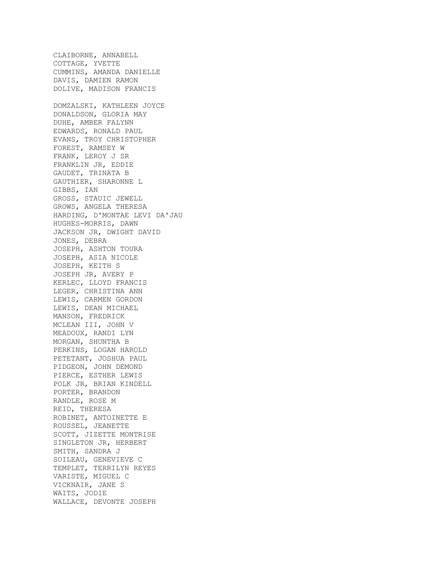CLAIBORNE, ANNABELL COTTAGE, YVETTE CUMMINS, AMANDA DANIELLE DAVIS, DAMIEN RAMON DOLIVE, MADISON FRANCIS DOMZALSKI, KATHLEEN JOYCE DONALDSON, GLORIA MAY DUHE, AMBER FALYNN EDWARDS, RONALD PAUL EVANS, TROY CHRISTOPHER FOREST, RAMSEY W FRANK, LEROY J SR FRANKLIN JR, EDDIE GAUDET, TRINATA B GAUTHIER, SHARONNE L GIBBS, IAN GROSS, STAUIC JEWELL GROWS, ANGELA THERESA HARDING, D'MONTAE LEVI DA'JAU HUGHES-MORRIS, DAWN JACKSON JR, DWIGHT DAVID JONES, DEBRA JOSEPH, ASHTON TOURA JOSEPH, ASIA NICOLE JOSEPH, KEITH S JOSEPH JR, AVERY P KERLEC, LLOYD FRANCIS LEGER, CHRISTINA ANN LEWIS, CARMEN GORDON LEWIS, DEAN MICHAEL MANSON, FREDRICK MCLEAN III, JOHN V MEADOUX, RANDI LYN MORGAN, SHUNTHA B PERKINS, LOGAN HAROLD PETETANT, JOSHUA PAUL PIDGEON, JOHN DEMOND PIERCE, ESTHER LEWIS POLK JR, BRIAN KINDELL PORTER, BRANDON RANDLE, ROSE M REID, THERESA ROBINET, ANTOINETTE E ROUSSEL, JEANETTE SCOTT, JIZETTE MONTRISE SINGLETON JR, HERBERT SMITH, SANDRA J SOILEAU, GENEVIEVE C TEMPLET, TERRILYN REYES VARISTE, MIGUEL C VICKNAIR, JANE S WAITS, JODIE WALLACE, DEVONTE JOSEPH